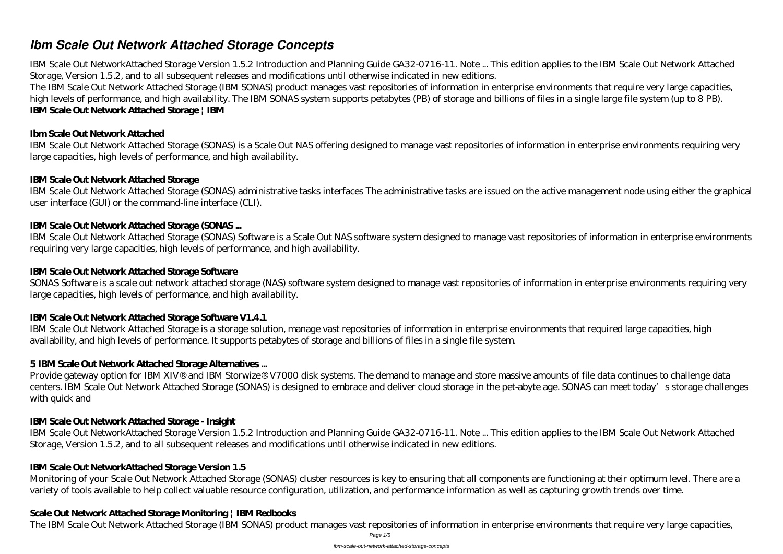# *Ibm Scale Out Network Attached Storage Concepts*

IBM Scale Out NetworkAttached Storage Version 1.5.2 Introduction and Planning Guide GA32-0716-11. Note ... This edition applies to the IBM Scale Out Network Attached Storage, Version 1.5.2, and to all subsequent releases and modifications until otherwise indicated in new editions.

The IBM Scale Out Network Attached Storage (IBM SONAS) product manages vast repositories of information in enterprise environments that require very large capacities, high levels of performance, and high availability. The IBM SONAS system supports petabytes (PB) of storage and billions of files in a single large file system (up to 8 PB). **IBM Scale Out Network Attached Storage | IBM**

## **Ibm Scale Out Network Attached**

IBM Scale Out Network Attached Storage (SONAS) is a Scale Out NAS offering designed to manage vast repositories of information in enterprise environments requiring very large capacities, high levels of performance, and high availability.

## **IBM Scale Out Network Attached Storage**

IBM Scale Out Network Attached Storage (SONAS) administrative tasks interfaces The administrative tasks are issued on the active management node using either the graphical user interface (GUI) or the command-line interface (CLI).

## **IBM Scale Out Network Attached Storage (SONAS ...**

Provide gateway option for IBM XIV® and IBM Storwize® V7000 disk systems. The demand to manage and store massive amounts of file data continues to challenge data centers. IBM Scale Out Network Attached Storage (SONAS) is designed to embrace and deliver cloud storage in the pet-abyte age. SONAS can meet today's storage challenges with quick and

IBM Scale Out Network Attached Storage (SONAS) Software is a Scale Out NAS software system designed to manage vast repositories of information in enterprise environments requiring very large capacities, high levels of performance, and high availability.

## **IBM Scale Out Network Attached Storage Software**

SONAS Software is a scale out network attached storage (NAS) software system designed to manage vast repositories of information in enterprise environments requiring very large capacities, high levels of performance, and high availability.

## **IBM Scale Out Network Attached Storage Software V1.4.1**

IBM Scale Out Network Attached Storage is a storage solution, manage vast repositories of information in enterprise environments that required large capacities, high availability, and high levels of performance. It supports petabytes of storage and billions of files in a single file system.

## **5 IBM Scale Out Network Attached Storage Alternatives ...**

## **IBM Scale Out Network Attached Storage - Insight**

IBM Scale Out NetworkAttached Storage Version 1.5.2 Introduction and Planning Guide GA32-0716-11. Note ... This edition applies to the IBM Scale Out Network Attached Storage, Version 1.5.2, and to all subsequent releases and modifications until otherwise indicated in new editions.

## **IBM Scale Out NetworkAttached Storage Version 1.5**

Monitoring of your Scale Out Network Attached Storage (SONAS) cluster resources is key to ensuring that all components are functioning at their optimum level. There are a variety of tools available to help collect valuable resource configuration, utilization, and performance information as well as capturing growth trends over time.

## **Scale Out Network Attached Storage Monitoring | IBM Redbooks**

The IBM Scale Out Network Attached Storage (IBM SONAS) product manages vast repositories of information in enterprise environments that require very large capacities,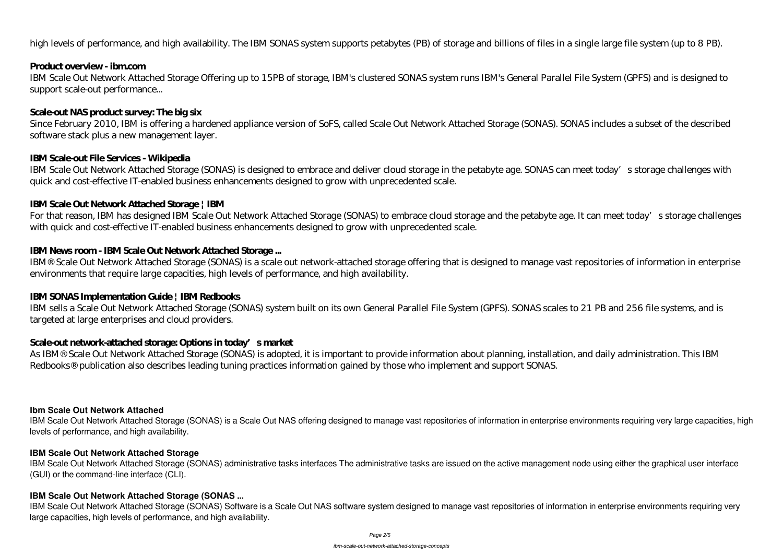high levels of performance, and high availability. The IBM SONAS system supports petabytes (PB) of storage and billions of files in a single large file system (up to 8 PB).

### **Product overview - ibm.com**

IBM Scale Out Network Attached Storage Offering up to 15PB of storage, IBM's clustered SONAS system runs IBM's General Parallel File System (GPFS) and is designed to support scale-out performance...

## **Scale-out NAS product survey: The big six**

For that reason, IBM has designed IBM Scale Out Network Attached Storage (SONAS) to embrace cloud storage and the petabyte age. It can meet today's storage challenges with quick and cost-effective IT-enabled business enhancements designed to grow with unprecedented scale.

Since February 2010, IBM is offering a hardened appliance version of SoFS, called Scale Out Network Attached Storage (SONAS). SONAS includes a subset of the described software stack plus a new management layer.

### **IBM Scale-out File Services - Wikipedia**

IBM Scale Out Network Attached Storage (SONAS) is designed to embrace and deliver cloud storage in the petabyte age. SONAS can meet today's storage challenges with quick and cost-effective IT-enabled business enhancements designed to grow with unprecedented scale.

## **IBM Scale Out Network Attached Storage | IBM**

## **IBM News room - IBM Scale Out Network Attached Storage ...**

IBM® Scale Out Network Attached Storage (SONAS) is a scale out network-attached storage offering that is designed to manage vast repositories of information in enterprise environments that require large capacities, high levels of performance, and high availability.

IBM Scale Out Network Attached Storage (SONAS) Software is a Scale Out NAS software system designed to manage vast repositories of information in enterprise environments requiring very large capacities, high levels of performance, and high availability.

## **IBM SONAS Implementation Guide | IBM Redbooks**

IBM sells a Scale Out Network Attached Storage (SONAS) system built on its own General Parallel File System (GPFS). SONAS scales to 21 PB and 256 file systems, and is targeted at large enterprises and cloud providers.

## **Scale-out network-attached storage: Options in today's market**

As IBM® Scale Out Network Attached Storage (SONAS) is adopted, it is important to provide information about planning, installation, and daily administration. This IBM Redbooks® publication also describes leading tuning practices information gained by those who implement and support SONAS.

### **Ibm Scale Out Network Attached**

IBM Scale Out Network Attached Storage (SONAS) is a Scale Out NAS offering designed to manage vast repositories of information in enterprise environments requiring very large capacities, high levels of performance, and high availability.

### **IBM Scale Out Network Attached Storage**

IBM Scale Out Network Attached Storage (SONAS) administrative tasks interfaces The administrative tasks are issued on the active management node using either the graphical user interface (GUI) or the command-line interface (CLI).

### **IBM Scale Out Network Attached Storage (SONAS ...**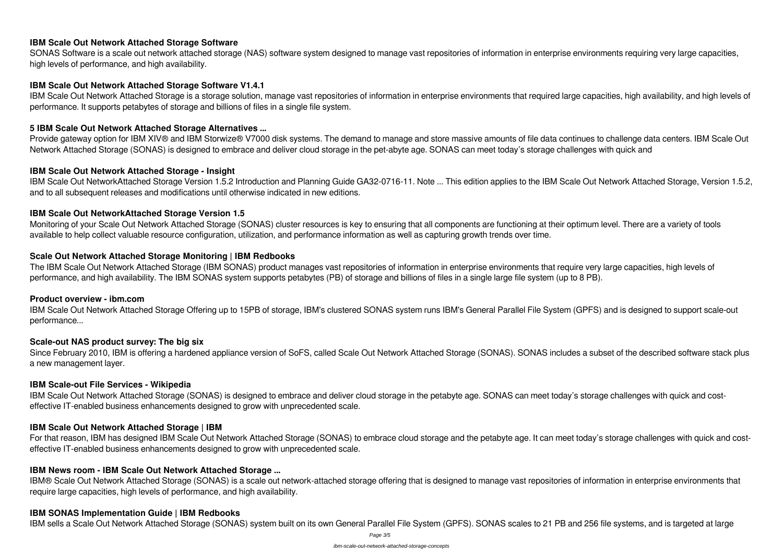#### **IBM Scale Out Network Attached Storage Software**

SONAS Software is a scale out network attached storage (NAS) software system designed to manage vast repositories of information in enterprise environments requiring very large capacities, high levels of performance, and high availability.

#### **IBM Scale Out Network Attached Storage Software V1.4.1**

IBM Scale Out Network Attached Storage is a storage solution, manage vast repositories of information in enterprise environments that required large capacities, high availability, and high levels of performance. It supports petabytes of storage and billions of files in a single file system.

Provide gateway option for IBM XIV® and IBM Storwize® V7000 disk systems. The demand to manage and store massive amounts of file data continues to challenge data centers. IBM Scale Out Network Attached Storage (SONAS) is designed to embrace and deliver cloud storage in the pet-abyte age. SONAS can meet today's storage challenges with quick and

#### **5 IBM Scale Out Network Attached Storage Alternatives ...**

#### **IBM Scale Out Network Attached Storage - Insight**

The IBM Scale Out Network Attached Storage (IBM SONAS) product manages vast repositories of information in enterprise environments that require very large capacities, high levels of performance, and high availability. The IBM SONAS system supports petabytes (PB) of storage and billions of files in a single large file system (up to 8 PB).

IBM Scale Out NetworkAttached Storage Version 1.5.2 Introduction and Planning Guide GA32-0716-11. Note ... This edition applies to the IBM Scale Out Network Attached Storage, Version 1.5.2, and to all subsequent releases and modifications until otherwise indicated in new editions.

#### **IBM Scale Out NetworkAttached Storage Version 1.5**

Monitoring of your Scale Out Network Attached Storage (SONAS) cluster resources is key to ensuring that all components are functioning at their optimum level. There are a variety of tools available to help collect valuable resource configuration, utilization, and performance information as well as capturing growth trends over time.

#### **Scale Out Network Attached Storage Monitoring | IBM Redbooks**

#### **Product overview - ibm.com**

IBM Scale Out Network Attached Storage Offering up to 15PB of storage, IBM's clustered SONAS system runs IBM's General Parallel File System (GPFS) and is designed to support scale-out performance...

### **Scale-out NAS product survey: The big six**

Since February 2010, IBM is offering a hardened appliance version of SoFS, called Scale Out Network Attached Storage (SONAS). SONAS includes a subset of the described software stack plus a new management layer.

#### **IBM Scale-out File Services - Wikipedia**

IBM Scale Out Network Attached Storage (SONAS) is designed to embrace and deliver cloud storage in the petabyte age. SONAS can meet today's storage challenges with quick and costeffective IT-enabled business enhancements designed to grow with unprecedented scale.

### **IBM Scale Out Network Attached Storage | IBM**

For that reason, IBM has designed IBM Scale Out Network Attached Storage (SONAS) to embrace cloud storage and the petabyte age. It can meet today's storage challenges with quick and costeffective IT-enabled business enhancements designed to grow with unprecedented scale.

### **IBM News room - IBM Scale Out Network Attached Storage ...**

IBM® Scale Out Network Attached Storage (SONAS) is a scale out network-attached storage offering that is designed to manage vast repositories of information in enterprise environments that require large capacities, high levels of performance, and high availability.

## **IBM SONAS Implementation Guide | IBM Redbooks**

IBM sells a Scale Out Network Attached Storage (SONAS) system built on its own General Parallel File System (GPFS). SONAS scales to 21 PB and 256 file systems, and is targeted at large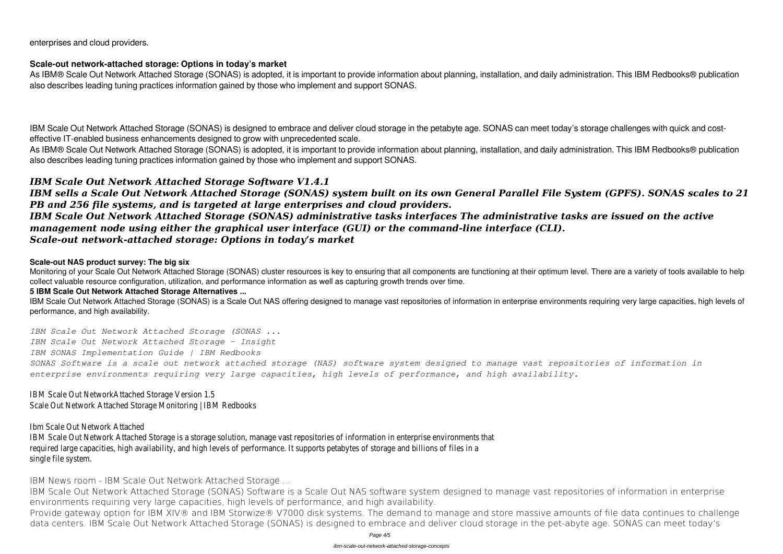enterprises and cloud providers.

#### **Scale-out network-attached storage: Options in today's market**

As IBM® Scale Out Network Attached Storage (SONAS) is adopted, it is important to provide information about planning, installation, and daily administration. This IBM Redbooks® publication also describes leading tuning practices information gained by those who implement and support SONAS.

IBM Scale Out Network Attached Storage (SONAS) is designed to embrace and deliver cloud storage in the petabyte age. SONAS can meet today's storage challenges with quick and costeffective IT-enabled business enhancements designed to grow with unprecedented scale. As IBM® Scale Out Network Attached Storage (SONAS) is adopted, it is important to provide information about planning, installation, and daily administration. This IBM Redbooks® publication

also describes leading tuning practices information gained by those who implement and support SONAS.

Monitoring of your Scale Out Network Attached Storage (SONAS) cluster resources is key to ensuring that all components are functioning at their optimum level. There are a variety of tools available to help collect valuable resource configuration, utilization, and performance information as well as capturing growth trends over time.

## *IBM Scale Out Network Attached Storage Software V1.4.1*

IBM Scale Out Network Attached Storage (SONAS) is a Scale Out NAS offering designed to manage vast repositories of information in enterprise environments requiring very large capacities, high levels of performance, and high availability.

*IBM sells a Scale Out Network Attached Storage (SONAS) system built on its own General Parallel File System (GPFS). SONAS scales to 21 PB and 256 file systems, and is targeted at large enterprises and cloud providers.*

*IBM Scale Out Network Attached Storage (SONAS) administrative tasks interfaces The administrative tasks are issued on the active management node using either the graphical user interface (GUI) or the command-line interface (CLI). Scale-out network-attached storage: Options in today's market*

#### **Scale-out NAS product survey: The big six**

#### **5 IBM Scale Out Network Attached Storage Alternatives ...**

*IBM Scale Out Network Attached Storage (SONAS ... IBM Scale Out Network Attached Storage - Insight IBM SONAS Implementation Guide | IBM Redbooks SONAS Software is a scale out network attached storage (NAS) software system designed to manage vast repositories of information in enterprise environments requiring very large capacities, high levels of performance, and high availability.*

IBM Scale Out NetworkAttached Storage Version 1.5 Scale Out Network Attached Storage Monitoring | IBM Redbooks

### Ibm Scale Out Network Attached

IBM Scale Out Network Attached Storage is a storage solution, manage vast repositories of information in enterprise environments that required large capacities, high availability, and high levels of performance. It supports petabytes of storage and billions of files in a single file system.

**IBM News room - IBM Scale Out Network Attached Storage ...**

IBM Scale Out Network Attached Storage (SONAS) Software is a Scale Out NAS software system designed to manage vast repositories of information in enterprise environments requiring very large capacities, high levels of performance, and high availability. Provide gateway option for IBM XIV® and IBM Storwize® V7000 disk systems. The demand to manage and store massive amounts of file data continues to challenge data centers. IBM Scale Out Network Attached Storage (SONAS) is designed to embrace and deliver cloud storage in the pet-abyte age. SONAS can meet today's